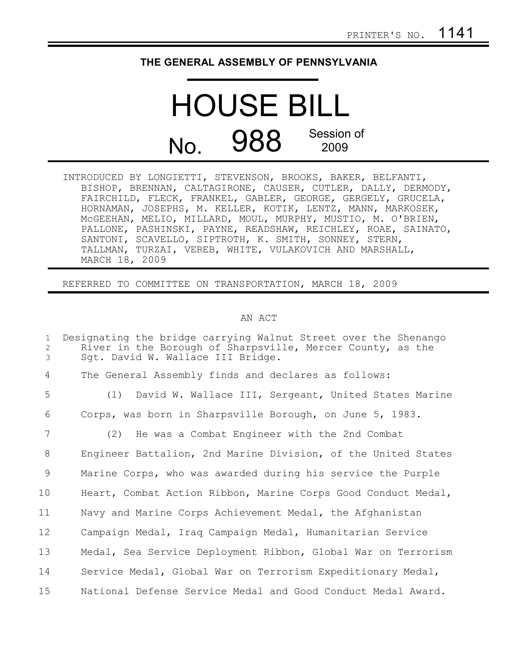## **THE GENERAL ASSEMBLY OF PENNSYLVANIA**

## HOUSE BILL No. 988 Session of 2009

| INTRODUCED BY LONGIETTI, STEVENSON, BROOKS, BAKER, BELFANTI,  |
|---------------------------------------------------------------|
| BISHOP, BRENNAN, CALTAGIRONE, CAUSER, CUTLER, DALLY, DERMODY, |
| FAIRCHILD, FLECK, FRANKEL, GABLER, GEORGE, GERGELY, GRUCELA,  |
| HORNAMAN, JOSEPHS, M. KELLER, KOTIK, LENTZ, MANN, MARKOSEK,   |
| MCGEEHAN, MELIO, MILLARD, MOUL, MURPHY, MUSTIO, M. O'BRIEN,   |
| PALLONE, PASHINSKI, PAYNE, READSHAW, REICHLEY, ROAE, SAINATO, |
| SANTONI, SCAVELLO, SIPTROTH, K. SMITH, SONNEY, STERN,         |
| TALLMAN, TURZAI, VEREB, WHITE, VULAKOVICH AND MARSHALL,       |
| MARCH 18, 2009                                                |

REFERRED TO COMMITTEE ON TRANSPORTATION, MARCH 18, 2009

## AN ACT

| $\mathbf{1}$<br>$\mathbf{2}$<br>$\mathcal{E}$ | Designating the bridge carrying Walnut Street over the Shenango<br>River in the Borough of Sharpsville, Mercer County, as the<br>Sqt. David W. Wallace III Bridge. |
|-----------------------------------------------|--------------------------------------------------------------------------------------------------------------------------------------------------------------------|
| 4                                             | The General Assembly finds and declares as follows:                                                                                                                |
| 5                                             | (1) David W. Wallace III, Sergeant, United States Marine                                                                                                           |
| 6                                             | Corps, was born in Sharpsville Borough, on June 5, 1983.                                                                                                           |
| 7                                             | (2) He was a Combat Engineer with the 2nd Combat                                                                                                                   |
| 8                                             | Engineer Battalion, 2nd Marine Division, of the United States                                                                                                      |
| 9                                             | Marine Corps, who was awarded during his service the Purple                                                                                                        |
| 10                                            | Heart, Combat Action Ribbon, Marine Corps Good Conduct Medal,                                                                                                      |
| 11                                            | Navy and Marine Corps Achievement Medal, the Afghanistan                                                                                                           |
| 12                                            | Campaign Medal, Iraq Campaign Medal, Humanitarian Service                                                                                                          |
| 13                                            | Medal, Sea Service Deployment Ribbon, Global War on Terrorism                                                                                                      |
| 14                                            | Service Medal, Global War on Terrorism Expeditionary Medal,                                                                                                        |
| 15                                            | National Defense Service Medal and Good Conduct Medal Award.                                                                                                       |